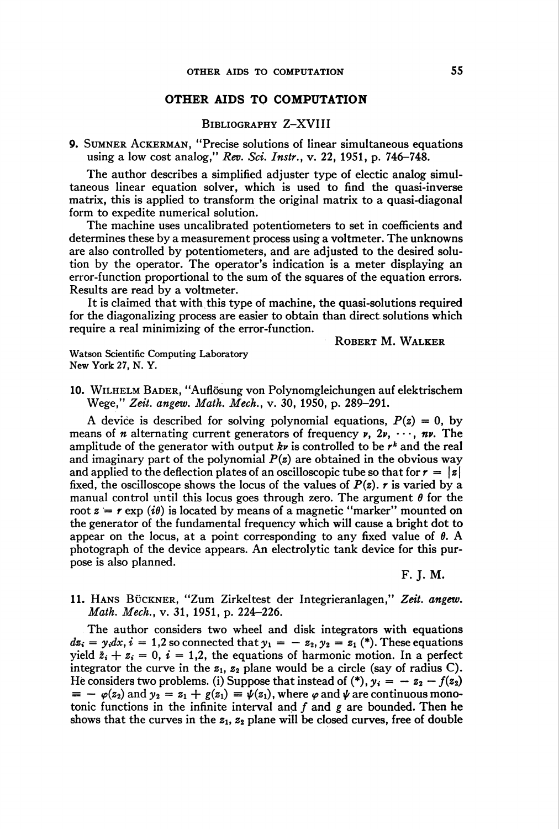## OTHER AIDS TO COMPUTATION

Bibliography Z-XVIII

9. Sumner Ackerman, "Precise solutions of linear simultaneous equations using a low cost analog," Rev. Sei. Instr., v. 22, 1951, p. 746-748.

The author describes a simplified adjuster type of electic analog simultaneous linear equation solver, which is used to find the quasi-inverse matrix, this is applied to transform the original matrix to a quasi-diagonal form to expedite numerical solution.

The machine uses uncalibrated potentiometers to set in coefficients and determines these by a measurement process using a voltmeter. The unknowns are also controlled by potentiometers, and are adjusted to the desired solution by the operator. The operator's indication is a meter displaying an error-function proportional to the sum of the squares of the equation errors. Results are read by a voltmeter.

It is claimed that with this type of machine, the quasi-solutions required for the diagonalizing process are easier to obtain than direct solutions which require a real minimizing of the error-function.

Robert M. Walker

Watson Scientific Computing Laboratory New York 27, N. Y.

10. Wilhelm Bader, "Auflösung von Polynomgleichungen auf elektrischem Wege," Zeit, angew. Math. Mech., v. 30, 1950, p. 289-291.

A device is described for solving polynomial equations,  $P(z) = 0$ , by means of *n* alternating current generators of frequency  $\nu$ ,  $2\nu$ ,  $\dots$ ,  $n\nu$ . The amplitude of the generator with output kv is controlled to be  $r^k$  and the real and imaginary part of the polynomial  $P(z)$  are obtained in the obvious way and applied to the deflection plates of an oscilloscopic tube so that for  $r = |z|$ fixed, the oscilloscope shows the locus of the values of  $P(z)$ . r is varied by a manual control until this locus goes through zero. The argument  $\theta$  for the root  $z = r \exp(i\theta)$  is located by means of a magnetic "marker" mounted on the generator of the fundamental frequency which will cause a bright dot to appear on the locus, at a point corresponding to any fixed value of  $\theta$ . A photograph of the device appears. An electrolytic tank device for this purpose is also planned.

F. J. M.

11. Hans Bückner, "Zum Zirkeltest der Integrieranlagen," Zeit, angew. Math. Mech., v. 31, 1951, p. 224-226.

The author considers two wheel and disk integrators with equations  $dz_i = y_i dx, i = 1,2$  so connected that  $y_1 = -z_2, y_2 = z_1$  (\*). These equations yield  $\ddot{z}_i + z_i = 0$ ,  $i = 1,2$ , the equations of harmonic motion. In a perfect integrator the curve in the  $z_1$ ,  $z_2$  plane would be a circle (say of radius C). He considers two problems. (i) Suppose that instead of (\*),  $y_i = -z_2 - f(z_2)$  $\psi = -\varphi(z_2)$  and  $y_2 = z_1 + g(z_1) \equiv \psi(z_1)$ , where  $\varphi$  and  $\psi$  are continuous monotonic functions in the infinite interval and  $f$  and  $g$  are bounded. Then he shows that the curves in the  $z_1$ ,  $z_2$  plane will be closed curves, free of double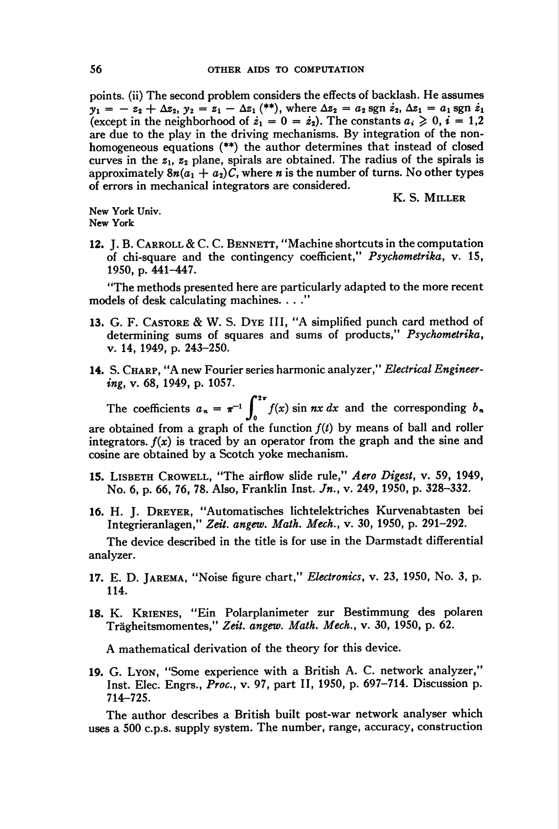points, (ii) The second problem considers the effects of backlash. He assumes  $y_1 = -z_2 + \Delta z_2, y_2 = z_1 - \Delta z_1$  (\*\*), where  $\Delta z_2 = a_2 \text{ sgn } z_2, \Delta z_1 = a_1 \text{ sgn } z_1$ (except in the neighborhood of  $\dot{z}_1 = 0 = \dot{z}_2$ ). The constants  $a_i \geq 0, i = 1,2$ are due to the play in the driving mechanisms. By integration of the nonhomogeneous equations (\*\*) the author determines that instead of closed curves in the  $z_1$ ,  $z_2$  plane, spirals are obtained. The radius of the spirals is approximately  $8n(a_1 + a_2)C$ , where *n* is the number of turns. No other types of errors in mechanical integrators are considered.

K. S. Miller

New York Univ. New York

12. J. B. CARROLL & C. C. BENNETT, "Machine shortcuts in the computation of chi-square and the contingency coefficient," Psychometrika, v. 15, 1950, p. 441-447.

"The methods presented here are particularly adapted to the more recent models of desk calculating machines. ..."

- 13. G. F. Castore & W. S. Dye III, "A simplified punch card method of determining sums of squares and sums of products," Psychometrika, v. 14, 1949, p. 243-250.
- 14. S. CHARP, "A new Fourier series harmonic analyzer," Electrical Engineering, v. 68, 1949, p. 1057.

The coefficients  $a_n = \pi^{-1} \int_{0}^{2\pi} f(x) \sin nx \, dx$  and the corresponding  $b_n$ are obtained from a graph of the function  $f(t)$  by means of ball and roller integrators.  $f(x)$  is traced by an operator from the graph and the sine and cosine are obtained by a Scotch yoke mechanism.

- 15. LISBETH CROWELL, "The airflow slide rule," Aero Digest, v. 59, 1949, No. 6, p. 66, 76, 78. Also, Franklin Inst. Jn., v. 249, 1950, p. 328–332.
- 16. H. J. Dreyer, "Automatisches lichtelektriches Kurvenabtasten bei Integrieranlagen," Zeit, angew. Math. Mech., v. 30, 1950, p. 291-292.

The device described in the title is for use in the Darmstadt differential analyzer.

- 17. E. D. Jarema, "Noise figure chart," Electronics, v. 23, 1950, No. 3, p. 114.
- 18. K. Krienes, "Ein Polarplanimeter zur Bestimmung des polaren Trägheitsmomentes," Zeit, angew. Math. Mech., v. 30, 1950, p. 62.

A mathematical derivation of the theory for this device.

19. G. Lyon, "Some experience with a British A. C. network analyzer," Inst. Elec. Engrs., Proc, v. 97, part II, 1950, p. 697-714. Discussion p. 714-725.

The author describes a British built post-war network analyser which uses a 500 c.p.s. supply system. The number, range, accuracy, construction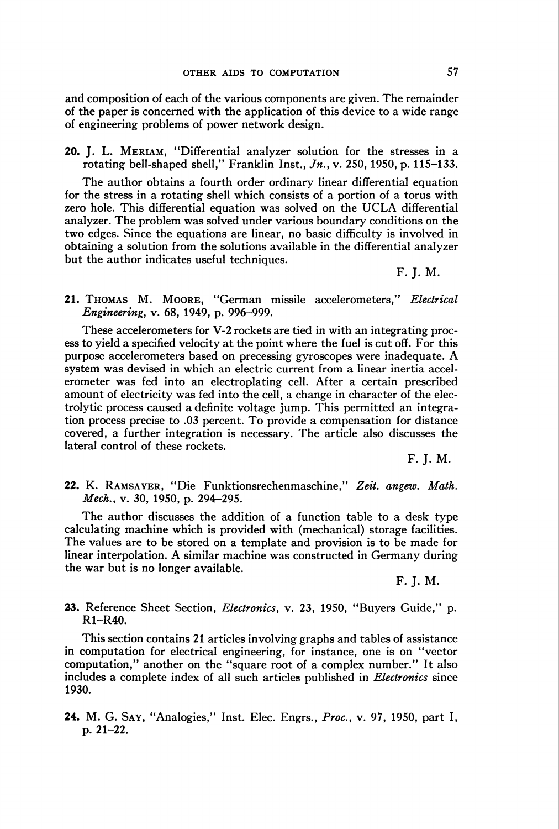and composition of each of the various components are given. The remainder of the paper is concerned with the application of this device to a wide range of engineering problems of power network design.

20. J. L. Meriam, "Differential analyzer solution for the stresses in a rotating bell-shaped shell," Franklin Inst.,  $J_n$ , v. 250, 1950, p. 115-133.

The author obtains a fourth order ordinary linear differential equation for the stress in a rotating shell which consists of a portion of a torus with zero hole. This differential equation was solved on the UCLA differential analyzer. The problem was solved under various boundary conditions on the two edges. Since the equations are linear, no basic difficulty is involved in obtaining a solution from the solutions available in the differential analyzer but the author indicates useful techniques.

F. J. M.

21. Thomas M. Moore, "German missile accelerometers," Electrical Engineering, v. 68, 1949, p. 996-999.

These accelerometers for V-2 rockets are tied in with an integrating process to yield a specified velocity at the point where the fuel is cut off. For this purpose accelerometers based on precessing gyroscopes were inadequate. A system was devised in which an electric current from a linear inertia accelerometer was fed into an electroplating cell. After a certain prescribed amount of electricity was fed into the cell, a change in character of the electrolytic process caused a definite voltage jump. This permitted an integration process precise to .03 percent. To provide a compensation for distance covered, a further integration is necessary. The article also discusses the lateral control of these rockets.

F. J. M.

22. K. Ramsayer, "Die Funktionsrechenmaschine," Zeit, angew. Math. Mech., v. 30, 1950, p. 294-295.

The author discusses the addition of a function table to a desk type calculating machine which is provided with (mechanical) storage facilities. The values are to be stored on a template and provision is to be made for linear interpolation. A similar machine was constructed in Germany during the war but is no longer available.

F. J. M.

23. Reference Sheet Section, *Electronics*, v. 23, 1950, "Buyers Guide," p. R1-R40.

This section contains 21 articles involving graphs and tables of assistance in computation for electrical engineering, for instance, one is on "vector computation," another on the "square root of a complex number." It also includes a complete index of all such articles published in *Electronics* since 1930.

24. M. G. Say, "Analogies," Inst. Elec. Engrs., Proc, v. 97, 1950, part I, p. 21-22.